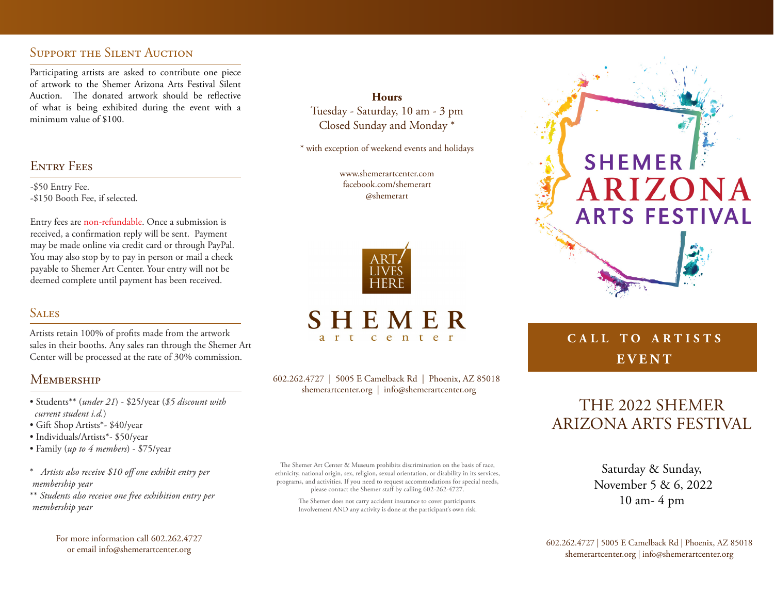# SUPPORT THE SILENT AUCTION

Participating artists are asked to contribute one piece of artwork to the Shemer Arizona Arts Festival Silent Auction. The donated artwork should be reflective of what is being exhibited during the event with a minimum value of \$100.

# **ENTRY FEES**

-\$50 Entry Fee. -\$150 Booth Fee, if selected.

Entry fees are non-refundable. Once a submission is received, a confirmation reply will be sent. Payment may be made online via credit card or through PayPal. You may also stop by to pay in person or mail a check payable to Shemer Art Center. Your entry will not be deemed complete until payment has been received.

# **SALES**

Artists retain 100% of profits made from the artwork sales in their booths. Any sales ran through the Shemer Art Center will be processed at the rate of 30% commission.

# **MEMBERSHIP**

- Students\*\* (*under 21*) \$25/year (*\$5 discount with current student i.d.*)
- Gift Shop Artists\*- \$40/year
- Individuals/Artists\*- \$50/year
- Family (*up to 4 members*) \$75/year
- \* *Artists also receive \$10 off one exhibit entry per membership year*
- \*\* *Students also receive one free exhibition entry per membership year*

For more information call 602.262.4727

**Hours** Tuesday - Saturday, 10 am - 3 pm Closed Sunday and Monday \*

\* with exception of weekend events and holidays

www.shemerartcenter.com facebook.com/shemerart @shemerart



### SHEMER  $e$  n t  $\mathbf C$

602.262.4727 | 5005 E Camelback Rd | Phoenix, AZ 85018 shemerartcenter.org | info@shemerartcenter.org

The Shemer Art Center & Museum prohibits discrimination on the basis of race, ethnicity, national origin, sex, religion, sexual orientation, or disability in its services, programs, and activities. If you need to request accommodations for special needs, please contact the Shemer staff by calling 602-262-4727.

The Shemer does not carry accident insurance to cover participants. Involvement AND any activity is done at the participant's own risk.

# **SHEMER** ARIZONA **ARTS FESTIVAL**

# **c a l l t o a r t i s t s E V E N T**

# THE 2022 SHEMER ARIZONA ARTS FESTIVAL

Saturday & Sunday, November 5 & 6, 2022 10 am- 4 pm